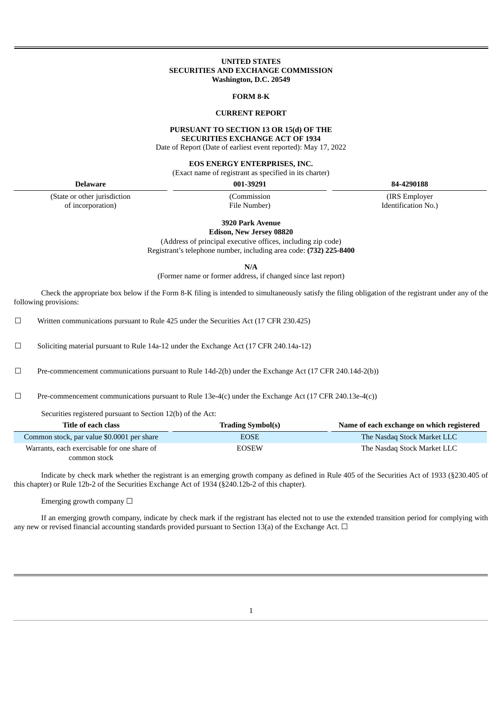## **UNITED STATES SECURITIES AND EXCHANGE COMMISSION Washington, D.C. 20549**

#### **FORM 8-K**

#### **CURRENT REPORT**

# **PURSUANT TO SECTION 13 OR 15(d) OF THE**

**SECURITIES EXCHANGE ACT OF 1934**

Date of Report (Date of earliest event reported): May 17, 2022

**EOS ENERGY ENTERPRISES, INC.** (Exact name of registrant as specified in its charter)

(Commission File Number)

**Delaware 001-39291 84-4290188**

(IRS Employer Identification No.)

(State or other jurisdiction of incorporation)

**3920 Park Avenue**

**Edison, New Jersey 08820**

(Address of principal executive offices, including zip code) Registrant's telephone number, including area code: **(732) 225-8400**

**N/A**

(Former name or former address, if changed since last report)

Check the appropriate box below if the Form 8-K filing is intended to simultaneously satisfy the filing obligation of the registrant under any of the following provisions:

☐ Written communications pursuant to Rule 425 under the Securities Act (17 CFR 230.425)

☐ Soliciting material pursuant to Rule 14a-12 under the Exchange Act (17 CFR 240.14a-12)

☐ Pre-commencement communications pursuant to Rule 14d-2(b) under the Exchange Act (17 CFR 240.14d-2(b))

☐ Pre-commencement communications pursuant to Rule 13e-4(c) under the Exchange Act (17 CFR 240.13e-4(c))

Securities registered pursuant to Section 12(b) of the Act:

| Title of each class                         | <b>Trading Symbol(s)</b> | Name of each exchange on which registered |
|---------------------------------------------|--------------------------|-------------------------------------------|
| Common stock, par value \$0.0001 per share  | <b>EOSE</b>              | The Nasdag Stock Market LLC               |
| Warrants, each exercisable for one share of | <b>EOSEW</b>             | The Nasdaq Stock Market LLC               |
| common stock                                |                          |                                           |

Indicate by check mark whether the registrant is an emerging growth company as defined in Rule 405 of the Securities Act of 1933 (§230.405 of this chapter) or Rule 12b-2 of the Securities Exchange Act of 1934 (§240.12b-2 of this chapter).

Emerging growth company  $\Box$ 

If an emerging growth company, indicate by check mark if the registrant has elected not to use the extended transition period for complying with any new or revised financial accounting standards provided pursuant to Section 13(a) of the Exchange Act.  $\Box$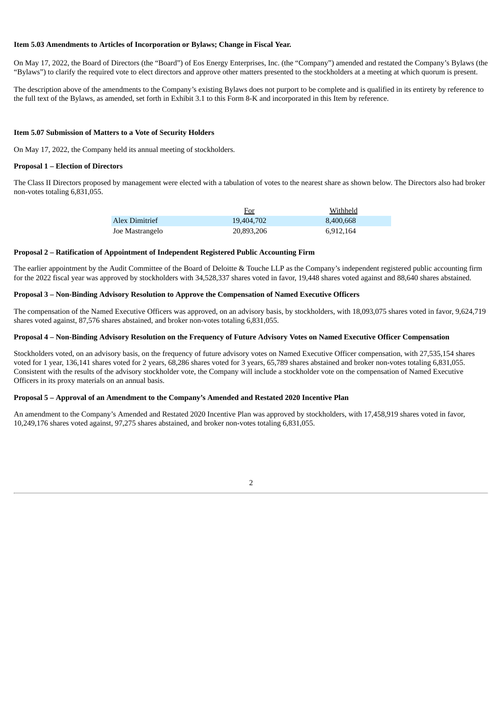## **Item 5.03 Amendments to Articles of Incorporation or Bylaws; Change in Fiscal Year.**

On May 17, 2022, the Board of Directors (the "Board") of Eos Energy Enterprises, Inc. (the "Company") amended and restated the Company's Bylaws (the "Bylaws") to clarify the required vote to elect directors and approve other matters presented to the stockholders at a meeting at which quorum is present.

The description above of the amendments to the Company's existing Bylaws does not purport to be complete and is qualified in its entirety by reference to the full text of the Bylaws, as amended, set forth in Exhibit 3.1 to this Form 8-K and incorporated in this Item by reference.

#### **Item 5.07 Submission of Matters to a Vote of Security Holders**

On May 17, 2022, the Company held its annual meeting of stockholders.

## **Proposal 1 – Election of Directors**

The Class II Directors proposed by management were elected with a tabulation of votes to the nearest share as shown below. The Directors also had broker non-votes totaling 6,831,055.

|                 | <u>For</u> | Withheld  |
|-----------------|------------|-----------|
| Alex Dimitrief  | 19,404,702 | 8.400.668 |
| Joe Mastrangelo | 20,893,206 | 6,912,164 |

## **Proposal 2 – Ratification of Appointment of Independent Registered Public Accounting Firm**

The earlier appointment by the Audit Committee of the Board of Deloitte & Touche LLP as the Company's independent registered public accounting firm for the 2022 fiscal year was approved by stockholders with 34,528,337 shares voted in favor, 19,448 shares voted against and 88,640 shares abstained.

## **Proposal 3 – Non-Binding Advisory Resolution to Approve the Compensation of Named Executive Officers**

The compensation of the Named Executive Officers was approved, on an advisory basis, by stockholders, with 18,093,075 shares voted in favor, 9,624,719 shares voted against, 87,576 shares abstained, and broker non-votes totaling 6,831,055.

## Proposal 4 - Non-Binding Advisory Resolution on the Frequency of Future Advisory Votes on Named Executive Officer Compensation

Stockholders voted, on an advisory basis, on the frequency of future advisory votes on Named Executive Officer compensation, with 27,535,154 shares voted for 1 year, 136,141 shares voted for 2 years, 68,286 shares voted for 3 years, 65,789 shares abstained and broker non-votes totaling 6,831,055. Consistent with the results of the advisory stockholder vote, the Company will include a stockholder vote on the compensation of Named Executive Officers in its proxy materials on an annual basis.

## **Proposal 5 – Approval of an Amendment to the Company's Amended and Restated 2020 Incentive Plan**

An amendment to the Company's Amended and Restated 2020 Incentive Plan was approved by stockholders, with 17,458,919 shares voted in favor, 10,249,176 shares voted against, 97,275 shares abstained, and broker non-votes totaling 6,831,055.

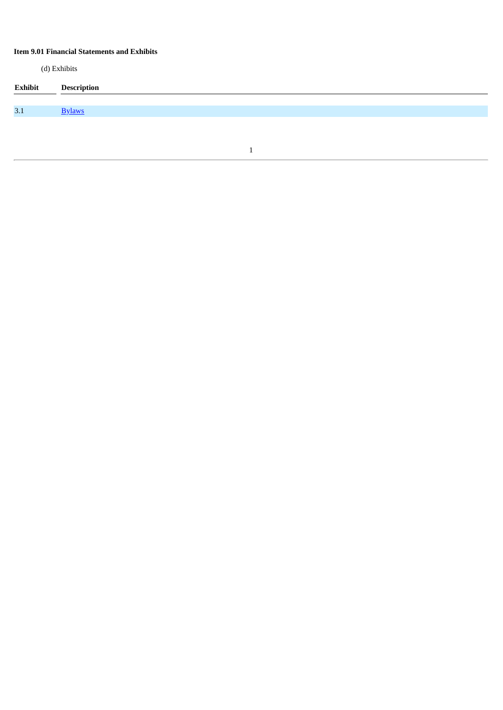# **Item 9.01 Financial Statements and Exhibits**

(d) Exhibits

| Exhibit | Description   |
|---------|---------------|
|         |               |
| 3.1     | <b>Bylaws</b> |
|         |               |
|         |               |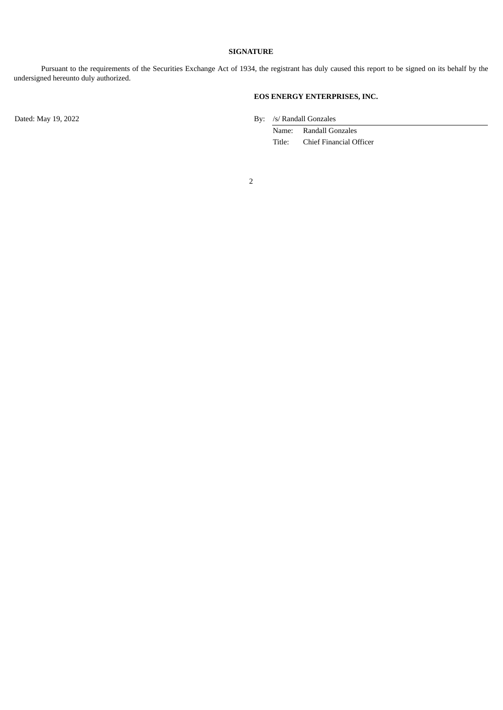## **SIGNATURE**

Pursuant to the requirements of the Securities Exchange Act of 1934, the registrant has duly caused this report to be signed on its behalf by the undersigned hereunto duly authorized.

# **EOS ENERGY ENTERPRISES, INC.**

Dated: May 19, 2022 By: /s/ Randall Gonzales

Name: Randall Gonzales Title: Chief Financial Officer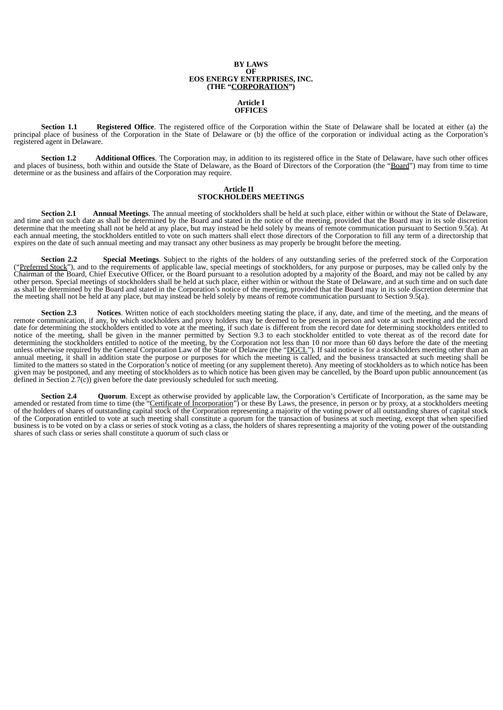#### **BY LAWS OF EOS ENERGY ENTERPRISES, INC. (THE "CORPORATION")**

#### **Article I OFFICES**

<span id="page-4-0"></span>**Section 1.1 Registered Office**. The registered office of the Corporation within the State of Delaware shall be located at either (a) the principal place of business of the Corporation in the State of Delaware or (b) the office of the corporation or individual acting as the Corporation's registered agent in Delaware.

**Section 1.2 Additional Offices**. The Corporation may, in addition to its registered office in the State of Delaware, have such other offices and places of business, both within and outside the State of Delaware, as the Board of Directors of the Corporation (the "Board") may from time to time determine or as the business and affairs of the Corporation may require.

#### **Article II STOCKHOLDERS MEETINGS**

**Section 2.1 Annual Meetings**. The annual meeting of stockholders shall be held at such place, either within or without the State of Delaware, and time and on such date as shall be determined by the Board and stated in the notice of the meeting, provided that the Board may in its sole discretion determine that the meeting shall not be held at any place, but may instead be held solely by means of remote communication pursuant to Section 9.5(a). At each annual meeting, the stockholders entitled to vote on such matters shall elect those directors of the Corporation to fill any term of a directorship that expires on the date of such annual meeting and may transact any other business as may properly be brought before the meeting.

**Section 2.2 Special Meetings**. Subject to the rights of the holders of any outstanding series of the preferred stock of the Corporation ("Preferred Stock"), and to the requirements of applicable law, special meetings of stockholders, for any purpose or purposes, may be called only by the Chairman of the Board, Chief Executive Officer, or the Board pursuant to a resolution adopted by a majority of the Board, and may not be called by any other person. Special meetings of stockholders shall be held at such place, either within or without the State of Delaware, and at such time and on such date as shall be determined by the Board and stated in the Corporation's notice of the meeting, provided that the Board may in its sole discretion determine that the meeting shall not be held at any place, but may instead be held solely by means of remote communication pursuant to Section 9.5(a).

**Section 2.3 Notices**. Written notice of each stockholders meeting stating the place, if any, date, and time of the meeting, and the means of remote communication, if any, by which stockholders and proxy holders may be deemed to be present in person and vote at such meeting and the record date for determining the stockholders entitled to vote at the meeting, if such date is different from the record date for determining stockholders entitled to notice of the meeting, shall be given in the manner permitted by Section 9.3 to each stockholder entitled to vote thereat as of the record date for determining the stockholders entitled to notice of the meeting, by the Corporation not less than 10 nor more than 60 days before the date of the meeting unless otherwise required by the General Corporation Law of the State of Delaware (the "<u>DGCL</u>"). If said notice is for a stockholders meeting other than an annual meeting, it shall in addition state the purpose or purposes for which the meeting is called, and the business transacted at such meeting shall be limited to the matters so stated in the Corporation's notice of meeting (or any supplement thereto). Any meeting of stockholders as to which notice has been given may be postponed, and any meeting of stockholders as to which notice has been given may be cancelled, by the Board upon public announcement (as defined in Section 2.7(c)) given before the date previously scheduled for such meeting.

**Section 2.4 Quorum**. Except as otherwise provided by applicable law, the Corporation's Certificate of Incorporation, as the same may be amended or restated from time to time (the "Certificate of Incorporation") or these By Laws, the presence, in person or by proxy, at a stockholders meeting of the holders of shares of outstanding capital stock of the Corporation representing a majority of the voting power of all outstanding shares of capital stock of the Corporation entitled to vote at such meeting shall constitute a quorum for the transaction of business at such meeting, except that when specified business is to be voted on by a class or series of stock voting as a class, the holders of shares representing a majority of the voting power of the outstanding shares of such class or series shall constitute a quorum of such class or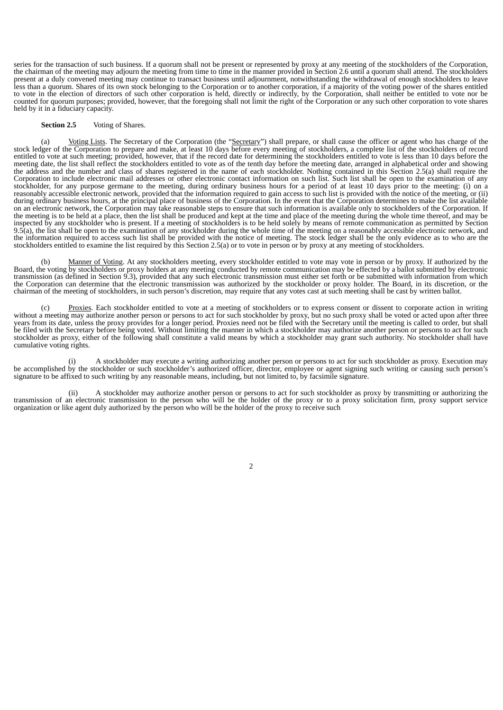series for the transaction of such business. If a quorum shall not be present or represented by proxy at any meeting of the stockholders of the Corporation, the chairman of the meeting may adjourn the meeting from time to time in the manner provided in Section 2.6 until a quorum shall attend. The stockholders present at a duly convened meeting may continue to transact business until adjournment, notwithstanding the withdrawal of enough stockholders to leave less than a quorum. Shares of its own stock belonging to the Corporation or to another corporation, if a majority of the voting power of the shares entitled to vote in the election of directors of such other corporation is held, directly or indirectly, by the Corporation, shall neither be entitled to vote nor be counted for quorum purposes; provided, however, that the foregoing shall not limit the right of the Corporation or any such other corporation to vote shares held by it in a fiduciary capacity.

#### **Section 2.5** Voting of Shares.

(a) Voting Lists. The Secretary of the Corporation (the "Secretary") shall prepare, or shall cause the officer or agent who has charge of the stock ledger of the Corporation to prepare and make, at least 10 days before every meeting of stockholders, a complete list of the stockholders of record entitled to vote at such meeting; provided, however, that if the record date for determining the stockholders entitled to vote is less than 10 days before the meeting date, the list shall reflect the stockholders entitled to vote as of the tenth day before the meeting date, arranged in alphabetical order and showing the address and the number and class of shares registered in the name of each stockholder. Nothing contained in this Section 2.5(a) shall require the Corporation to include electronic mail addresses or other electronic contact information on such list. Such list shall be open to the examination of any stockholder, for any purpose germane to the meeting, during ordinary business hours for a period of at least 10 days prior to the meeting: (i) on a reasonably accessible electronic network, provided that the information required to gain access to such list is provided with the notice of the meeting, or (ii) during ordinary business hours, at the principal place of business of the Corporation. In the event that the Corporation determines to make the list available on an electronic network, the Corporation may take reasonable steps to ensure that such information is available only to stockholders of the Corporation. If the meeting is to be held at a place, then the list shall be produced and kept at the time and place of the meeting during the whole time thereof, and may be inspected by any stockholder who is present. If a meeting of stockholders is to be held solely by means of remote communication as permitted by Section 9.5(a), the list shall be open to the examination of any stockholder during the whole time of the meeting on a reasonably accessible electronic network, and the information required to access such list shall be provided with the notice of meeting. The stock ledger shall be the only evidence as to who are the stockholders entitled to examine the list required by this Section 2.5(a) or to vote in person or by proxy at any meeting of stockholders.

(b) Manner of Voting. At any stockholders meeting, every stockholder entitled to vote may vote in person or by proxy. If authorized by the Board, the voting by stockholders or proxy holders at any meeting conducted by remote communication may be effected by a ballot submitted by electronic transmission (as defined in Section 9.3), provided that any such electronic transmission must either set forth or be submitted with information from which the Corporation can determine that the electronic transmission was authorized by the stockholder or proxy holder. The Board, in its discretion, or the chairman of the meeting of stockholders, in such person's discretion, may require that any votes cast at such meeting shall be cast by written ballot.

(c) Proxies. Each stockholder entitled to vote at a meeting of stockholders or to express consent or dissent to corporate action in writing without a meeting may authorize another person or persons to act for such stockholder by proxy, but no such proxy shall be voted or acted upon after three years from its date, unless the proxy provides for a longer period. Proxies need not be filed with the Secretary until the meeting is called to order, but shall be filed with the Secretary before being voted. Without limiting the manner in which a stockholder may authorize another person or persons to act for such stockholder as proxy, either of the following shall constitute a valid means by which a stockholder may grant such authority. No stockholder shall have cumulative voting rights.

(i) A stockholder may execute a writing authorizing another person or persons to act for such stockholder as proxy. Execution may be accomplished by the stockholder or such stockholder's authorized officer, director, employee or agent signing such writing or causing such person's signature to be affixed to such writing by any reasonable means, including, but not limited to, by facsimile signature.

(ii) A stockholder may authorize another person or persons to act for such stockholder as proxy by transmitting or authorizing the transmission of an electronic transmission to the person who will be the holder of the proxy or to a proxy solicitation firm, proxy support service organization or like agent duly authorized by the person who will be the holder of the proxy to receive such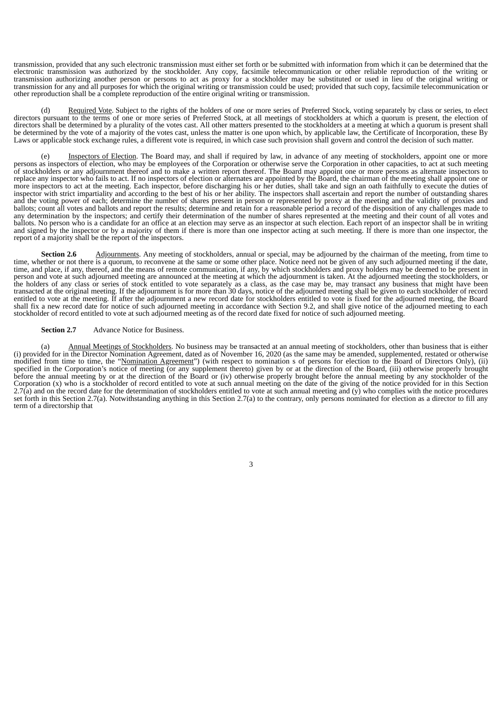transmission, provided that any such electronic transmission must either set forth or be submitted with information from which it can be determined that the electronic transmission was authorized by the stockholder. Any copy, facsimile telecommunication or other reliable reproduction of the writing or transmission authorizing another person or persons to act as proxy for a stockholder may be substituted or used in lieu of the original writing or transmission for any and all purposes for which the original writing or transmission could be used; provided that such copy, facsimile telecommunication or other reproduction shall be a complete reproduction of the entire original writing or transmission.

(d) Required Vote. Subject to the rights of the holders of one or more series of Preferred Stock, voting separately by class or series, to elect directors pursuant to the terms of one or more series of Preferred Stock, at all meetings of stockholders at which a quorum is present, the election of directors shall be determined by a plurality of the votes cast. All other matters presented to the stockholders at a meeting at which a quorum is present shall be determined by the vote of a majority of the votes cast, unless the matter is one upon which, by applicable law, the Certificate of Incorporation, these By Laws or applicable stock exchange rules, a different vote is required, in which case such provision shall govern and control the decision of such matter.

(e) Inspectors of Election. The Board may, and shall if required by law, in advance of any meeting of stockholders, appoint one or more persons as inspectors of election, who may be employees of the Corporation or otherwise serve the Corporation in other capacities, to act at such meeting of stockholders or any adjournment thereof and to make a written report thereof. The Board may appoint one or more persons as alternate inspectors to replace any inspector who fails to act. If no inspectors of election or alternates are appointed by the Board, the chairman of the meeting shall appoint one or more inspectors to act at the meeting. Each inspector, before discharging his or her duties, shall take and sign an oath faithfully to execute the duties of inspector with strict impartiality and according to the best of his or her ability. The inspectors shall ascertain and report the number of outstanding shares and the voting power of each; determine the number of shares present in person or represented by proxy at the meeting and the validity of proxies and ballots; count all votes and ballots and report the results; determine and retain for a reasonable period a record of the disposition of any challenges made to any determination by the inspectors; and certify their determination of the number of shares represented at the meeting and their count of all votes and ballots. No person who is a candidate for an office at an election may serve as an inspector at such election. Each report of an inspector shall be in writing and signed by the inspector or by a majority of them if there is more than one inspector acting at such meeting. If there is more than one inspector, the report of a majority shall be the report of the inspectors.

**Section 2.6** Adjournments. Any meeting of stockholders, annual or special, may be adjourned by the chairman of the meeting, from time to time, whether or not there is a quorum, to reconvene at the same or some other place. Notice need not be given of any such adjourned meeting if the date, time, and place, if any, thereof, and the means of remote communication, if any, by which stockholders and proxy holders may be deemed to be present in person and vote at such adjourned meeting are announced at the meeting at which the adjournment is taken. At the adjourned meeting the stockholders, or the holders of any class or series of stock entitled to vote separately as a class, as the case may be, may transact any business that might have been transacted at the original meeting. If the adjournment is for more than 30 days, notice of the adjourned meeting shall be given to each stockholder of record entitled to vote at the meeting. If after the adjournment a new record date for stockholders entitled to vote is fixed for the adjourned meeting, the Board shall fix a new record date for notice of such adjourned meeting in accordance with Section 9.2, and shall give notice of the adjourned meeting to each stockholder of record entitled to vote at such adjourned meeting as of the record date fixed for notice of such adjourned meeting.

## **Section 2.7** Advance Notice for Business.

(a) Annual Meetings of Stockholders. No business may be transacted at an annual meeting of stockholders, other than business that is either (i) provided for in the Director Nomination Agreement, dated as of November 16, 2020 (as the same may be amended, supplemented, restated or otherwise modified from time to time, the "Nomination Agreement") (with respect to nomination s of persons for election to the Board of Directors Only), (ii) specified in the Corporation's notice of meeting (or any supplement thereto) given by or at the direction of the Board, (iii) otherwise properly brought before the annual meeting by or at the direction of the Board or (iv) otherwise properly brought before the annual meeting by any stockholder of the Corporation (x) who is a stockholder of record entitled to vote at such annual meeting on the date of the giving of the notice provided for in this Section  $2.7(a)$  and on the record date for the determination of stockholders entitled to vote at such annual meeting and (y) who complies with the notice procedures set forth in this Section 2.7(a). Notwithstanding anything in this Section 2.7(a) to the contrary, only persons nominated for election as a director to fill any term of a directorship that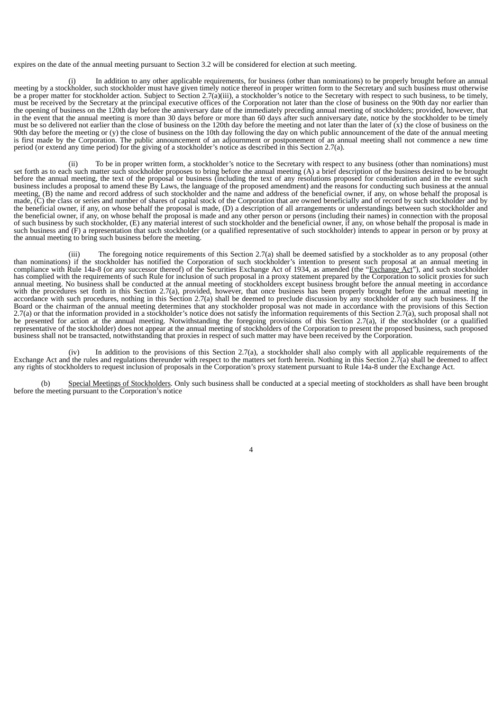expires on the date of the annual meeting pursuant to Section 3.2 will be considered for election at such meeting.

(i) In addition to any other applicable requirements, for business (other than nominations) to be properly brought before an annual meeting by a stockholder, such stockholder must have given timely notice thereof in proper written form to the Secretary and such business must otherwise be a proper matter for stockholder action. Subject to Section 2.7(a)(iii), a stockholder's notice to the Secretary with respect to such business, to be timely, must be received by the Secretary at the principal executive offices of the Corporation not later than the close of business on the 90th day nor earlier than the opening of business on the 120th day before the anniversary date of the immediately preceding annual meeting of stockholders; provided, however, that in the event that the annual meeting is more than 30 days before or more than 60 days after such anniversary date, notice by the stockholder to be timely must be so delivered not earlier than the close of business on the 120th day before the meeting and not later than the later of  $(x)$  the close of business on the 90th day before the meeting or (y) the close of business on the 10th day following the day on which public announcement of the date of the annual meeting is first made by the Corporation. The public announcement of an adjournment or postponement of an annual meeting shall not commence a new time period (or extend any time period) for the giving of a stockholder's notice as described in this Section 2.7(a).

(ii) To be in proper written form, a stockholder's notice to the Secretary with respect to any business (other than nominations) must set forth as to each such matter such stockholder proposes to bring before the annual meeting (A) a brief description of the business desired to be brought before the annual meeting, the text of the proposal or business (including the text of any resolutions proposed for consideration and in the event such business includes a proposal to amend these By Laws, the language of the proposed amendment) and the reasons for conducting such business at the annual meeting, (B) the name and record address of such stockholder and the name and address of the beneficial owner, if any, on whose behalf the proposal is made, (C) the class or series and number of shares of capital stock of the Corporation that are owned beneficially and of record by such stockholder and by the beneficial owner, if any, on whose behalf the proposal is made, (D) a description of all arrangements or understandings between such stockholder and the beneficial owner, if any, on whose behalf the proposal is made and any other person or persons (including their names) in connection with the proposal the beneficial owner, if any, on whose behalf the proposal is made of such business by such stockholder, (E) any material interest of such stockholder and the beneficial owner, if any, on whose behalf the proposal is made in of such stockholder, (E) any material interest of such stockhold such business and (F) a representation that such stockholder (or a qualified representative of such stockholder) intends to appear in person or by proxy at the annual meeting to bring such business before the meeting.

(iii) The foregoing notice requirements of this Section 2.7(a) shall be deemed satisfied by a stockholder as to any proposal (other than nominations) if the stockholder has notified the Corporation of such stockholder's intention to present such proposal at an annual meeting in compliance with Rule 14a-8 (or any successor thereof) of the Securities Exchange Act of 1934, as amended (the "Exchange Act"), and such stockholder has complied with the requirements of such Rule for inclusion of such proposal in a proxy statement prepared by the Corporation to solicit proxies for such annual meeting. No business shall be conducted at the annual meeting of stockholders except business brought before the annual meeting in accordance with the procedures set forth in this Section 2.7(a), provided, however, that once business has been properly brought before the annual meeting in accordance with such procedures, nothing in this Section 2.7(a) shall be deemed to preclude discussion by any stockholder of any such business. If the Board or the chairman of the annual meeting determines that any stockholder proposal was not made in accordance with the provisions of this Section 2.7(a) or that the information provided in a stockholder's notice does not satisfy the information requirements of this Section 2.7(a), such proposal shall not be presented for action at the annual meeting. Notwithstanding the foregoing provisions of this Section 2.7(a), if the stockholder (or a qualified representative of the stockholder) does not appear at the annual meeting of stockholders of the Corporation to present the proposed business, such proposed business shall not be transacted, notwithstanding that proxies in respect of such matter may have been received by the Corporation.

(iv) In addition to the provisions of this Section 2.7(a), a stockholder shall also comply with all applicable requirements of the Exchange Act and the rules and regulations thereunder with respect to the matters set forth herein. Nothing in this Section  $2.7(a)$  shall be deemed to affect any rights of stockholders to request inclusion of proposals in the Corporation's proxy statement pursuant to Rule 14a-8 under the Exchange Act.

(b) Special Meetings of Stockholders. Only such business shall be conducted at a special meeting of stockholders as shall have been brought before the meeting pursuant to the Corporation's notice

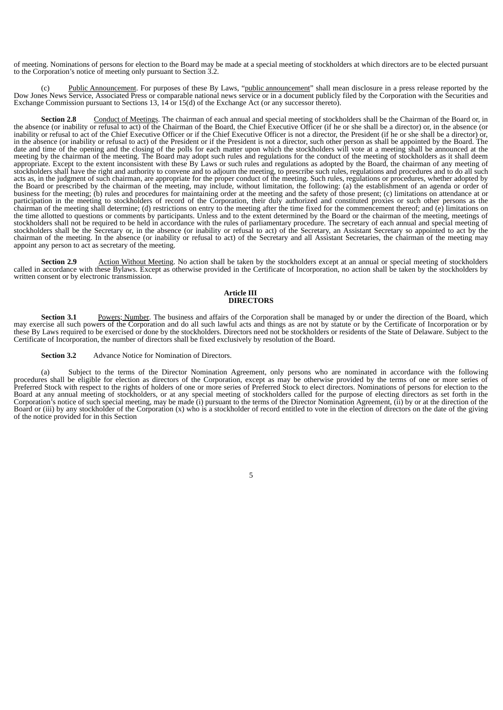of meeting. Nominations of persons for election to the Board may be made at a special meeting of stockholders at which directors are to be elected pursuant to the Corporation's notice of meeting only pursuant to Section 3.2.

(c) Public Announcement. For purposes of these By Laws, "public announcement" shall mean disclosure in a press release reported by the Dow Jones News Service, Associated Press or comparable national news service or in a document publicly filed by the Corporation with the Securities and Exchange Commission pursuant to Sections 13, 14 or 15(d) of the Exchange Act (or any successor thereto).

**Section 2.8** Conduct of Meetings. The chairman of each annual and special meeting of stockholders shall be the Chairman of the Board or, in the absence (or inability or refusal to act) of the Chairman of the Board, the Chief Executive Officer (if he or she shall be a director) or, in the absence (or inability or refusal to act of the Chief Executive Officer or if the Chief Executive Officer is not a director, the President (if he or she shall be a director) or, in the absence (or inability or refusal to act) of the President or if the President is not a director, such other person as shall be appointed by the Board. The date and time of the opening and the closing of the polls for each matter upon which the stockholders will vote at a meeting shall be announced at the meeting by the chairman of the meeting. The Board may adopt such rules and regulations for the conduct of the meeting of stockholders as it shall deem appropriate. Except to the extent inconsistent with these By Laws or such rules and regulations as adopted by the Board, the chairman of any meeting of stockholders shall have the right and authority to convene and to adjourn the meeting, to prescribe such rules, regulations and procedures and to do all such acts as, in the judgment of such chairman, are appropriate for the proper conduct of the meeting. Such rules, regulations or procedures, whether adopted by the Board or prescribed by the chairman of the meeting, may include, without limitation, the following: (a) the establishment of an agenda or order of business for the meeting; (b) rules and procedures for maintaining order at the meeting and the safety of those present; (c) limitations on attendance at or participation in the meeting to stockholders of record of the Corporation, their duly authorized and constituted proxies or such other persons as the chairman of the meeting shall determine; (d) restrictions on entry to the meeting after the time fixed for the commencement thereof; and (e) limitations on the time allotted to questions or comments by participants. Unless and to the extent determined by the Board or the chairman of the meeting, meetings of stockholders shall not be required to be held in accordance with the rules of parliamentary procedure. The secretary of each annual and special meeting of stockholders shall be the Secretary or, in the absence (or inability or refusal to act) of the Secretary, an Assistant Secretary so appointed to act by the chairman of the meeting. In the absence (or inability or refusal to act) of the Secretary and all Assistant Secretaries, the chairman of the meeting may appoint any person to act as secretary of the meeting.

**Section 2.9** Action Without Meeting. No action shall be taken by the stockholders except at an annual or special meeting of stockholders called in accordance with these Bylaws. Except as otherwise provided in the Certificate of Incorporation, no action shall be taken by the stockholders by written consent or by electronic transmission.

#### **Article III DIRECTORS**

**Section 3.1** Powers; Number. The business and affairs of the Corporation shall be managed by or under the direction of the Board, which may exercise all such powers of the Corporation and do all such lawful acts and things as are not by statute or by the Certificate of Incorporation or by these By Laws required to be exercised or done by the stockholders. Directors need not be stockholders or residents of the State of Delaware. Subject to the Certificate of Incorporation, the number of directors shall be fixed exclusively by resolution of the Board.

**Section 3.2** Advance Notice for Nomination of Directors.

(a) Subject to the terms of the Director Nomination Agreement, only persons who are nominated in accordance with the following procedures shall be eligible for election as directors of the Corporation, except as may be otherwise provided by the terms of one or more series of Preferred Stock with respect to the rights of holders of one or more series of Preferred Stock to elect directors. Nominations of persons for election to the Board at any annual meeting of stockholders, or at any special meeting of stockholders called for the purpose of electing directors as set forth in the Corporation's notice of such special meeting, may be made (i) pursuant to the terms of the Director Nomination Agreement, (ii) by or at the direction of the Board or (iii) by any stockholder of the Corporation (x) who is a stockholder of record entitled to vote in the election of directors on the date of the giving of the notice provided for in this Section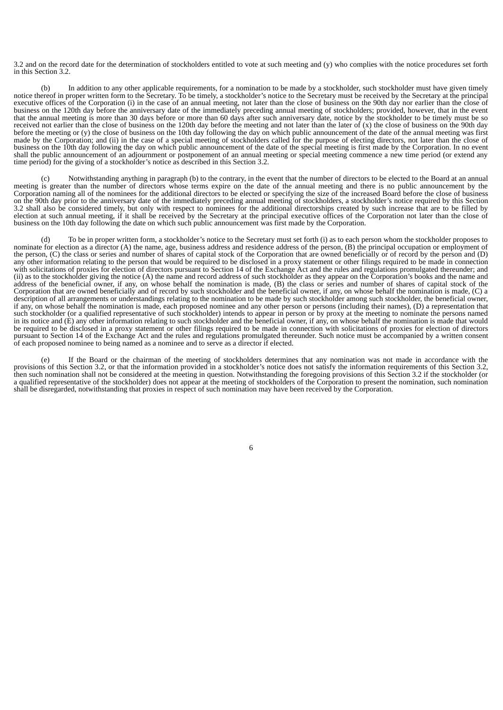3.2 and on the record date for the determination of stockholders entitled to vote at such meeting and (y) who complies with the notice procedures set forth in this Section 3.2.

(b) In addition to any other applicable requirements, for a nomination to be made by a stockholder, such stockholder must have given timely notice thereof in proper written form to the Secretary. To be timely, a stockholder's notice to the Secretary must be received by the Secretary at the principal executive offices of the Corporation (i) in the case of an annual meeting, not later than the close of business on the 90th day nor earlier than the close of business on the 120th day before the anniversary date of the immediately preceding annual meeting of stockholders; provided, however, that in the event that the annual meeting is more than 30 days before or more than 60 days after such anniversary date, notice by the stockholder to be timely must be so received not earlier than the close of business on the 120th day before the meeting and not later than the later of  $(x)$  the close of business on the 90th day before the meeting or (y) the close of business on the 10th day following the day on which public announcement of the date of the annual meeting was first made by the Corporation; and (ii) in the case of a special meeting of stockholders called for the purpose of electing directors, not later than the close of business on the 10th day following the day on which public announcement of the date of the special meeting is first made by the Corporation. In no event shall the public announcement of an adjournment or postponement of an annual meeting or special meeting commence a new time period (or extend any time period) for the giving of a stockholder's notice as described in this Section 3.2.

Notwithstanding anything in paragraph (b) to the contrary, in the event that the number of directors to be elected to the Board at an annual meeting is greater than the number of directors whose terms expire on the date of the annual meeting and there is no public announcement by the Corporation naming all of the nominees for the additional directors to be elected or specifying the size of the increased Board before the close of business on the 90th day prior to the anniversary date of the immediately preceding annual meeting of stockholders, a stockholder's notice required by this Section 3.2 shall also be considered timely, but only with respect to nominees for the additional directorships created by such increase that are to be filled by election at such annual meeting, if it shall be received by the Secretary at the principal executive offices of the Corporation not later than the close of business on the 10th day following the date on which such public announcement was first made by the Corporation.

To be in proper written form, a stockholder's notice to the Secretary must set forth (i) as to each person whom the stockholder proposes to nominate for election as a director (A) the name, age, business address and residence address of the person, (B) the principal occupation or employment of the person, (C) the class or series and number of shares of capital stock of the Corporation that are owned beneficially or of record by the person and (D) any other information relating to the person that would be required to be disclosed in a proxy statement or other filings required to be made in connection with solicitations of proxies for election of directors pursuant to Section 14 of the Exchange Act and the rules and regulations promulgated thereunder; and (ii) as to the stockholder giving the notice (A) the name and record address of such stockholder as they appear on the Corporation's books and the name and address of the beneficial owner, if any, on whose behalf the nomination is made, (B) the class or series and number of shares of capital stock of the Corporation that are owned beneficially and of record by such stockholder and the beneficial owner, if any, on whose behalf the nomination is made, (C) a description of all arrangements or understandings relating to the nomination to be made by such stockholder among such stockholder, the beneficial owner, if any, on whose behalf the nomination is made, each proposed nominee and any other person or persons (including their names), (D) a representation that such stockholder (or a qualified representative of such stockholder) intends to appear in person or by proxy at the meeting to nominate the persons named in its notice and (E) any other information relating to such stockholder and the beneficial owner, if any, on whose behalf the nomination is made that would be required to be disclosed in a proxy statement or other filings required to be made in connection with solicitations of proxies for election of directors pursuant to Section 14 of the Exchange Act and the rules and regulations promulgated thereunder. Such notice must be accompanied by a written consent of each proposed nominee to being named as a nominee and to serve as a director if elected.

(e) If the Board or the chairman of the meeting of stockholders determines that any nomination was not made in accordance with the provisions of this Section 3.2, or that the information provided in a stockholder's notice does not satisfy the information requirements of this Section 3.2, then such nomination shall not be considered at the meeting in question. Notwithstanding the foregoing provisions of this Section 3.2 if the stockholder (or a qualified representative of the stockholder) does not appear at the meeting of stockholders of the Corporation to present the nomination, such nomination shall be disregarded, notwithstanding that proxies in respect of such nomination may have been received by the Corporation.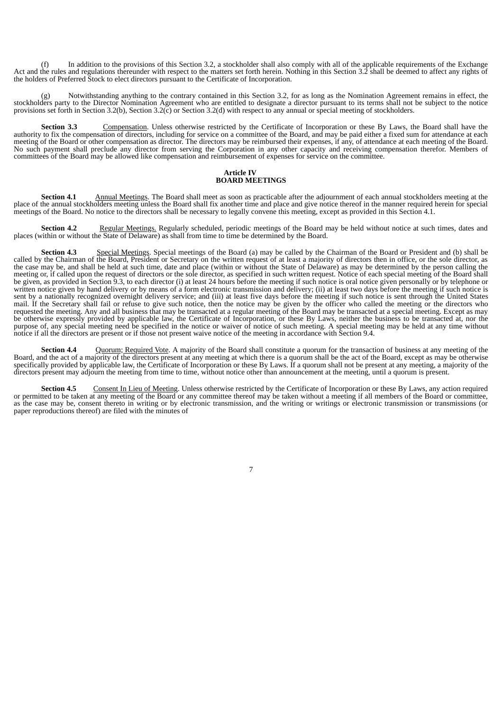(f) In addition to the provisions of this Section 3.2, a stockholder shall also comply with all of the applicable requirements of the Exchange Act and the rules and regulations thereunder with respect to the matters set forth herein. Nothing in this Section 3.2 shall be deemed to affect any rights of the holders of Preferred Stock to elect directors pursuant to the Certificate of Incorporation.

Notwithstanding anything to the contrary contained in this Section 3.2, for as long as the Nomination Agreement remains in effect, the stockholders party to the Director Nomination Agreement who are entitled to designate a director pursuant to its terms shall not be subject to the notice provisions set forth in Section 3.2(b), Section 3.2(c) or Section 3.2(d) with respect to any annual or special meeting of stockholders.

**Section 3.3** Compensation. Unless otherwise restricted by the Certificate of Incorporation or these By Laws, the Board shall have the authority to fix the compensation of directors, including for service on a committee of the Board, and may be paid either a fixed sum for attendance at each meeting of the Board or other compensation as director. The directors may be reimbursed their expenses, if any, of attendance at each meeting of the Board. No such payment shall preclude any director from serving the Corporation in any other capacity and receiving compensation therefor. Members of committees of the Board may be allowed like compensation and reimbursement of expenses for service on the committee.

#### **Article IV BOARD MEETINGS**

**Section 4.1** Annual Meetings. The Board shall meet as soon as practicable after the adjournment of each annual stockholders meeting at the place of the annual stockholders meeting unless the Board shall fix another time and place and give notice thereof in the manner required herein for special meetings of the Board. No notice to the directors shall be necessary to legally convene this meeting, except as provided in this Section 4.1.

**Section 4.2** Regular Meetings. Regularly scheduled, periodic meetings of the Board may be held without notice at such times, dates and places (within or without the State of Delaware) as shall from time to time be determined by the Board.

**Section 4.3** Special Meetings. Special meetings of the Board (a) may be called by the Chairman of the Board or President and (b) shall be called by the Chairman of the Board, President or Secretary on the written request of at least a majority of directors then in office, or the sole director, as the case may be, and shall be held at such time, date and place (within or without the State of Delaware) as may be determined by the person calling the meeting or, if called upon the request of directors or the sole director, as specified in such written request. Notice of each special meeting of the Board shall be given, as provided in Section 9.3, to each director (i) at least 24 hours before the meeting if such notice is oral notice given personally or by telephone or written notice given by hand delivery or by means of a form electronic transmission and delivery; (ii) at least two days before the meeting if such notice is sent by a nationally recognized overnight delivery service; and (iii) at least five days before the meeting if such notice is sent through the United States mail. If the Secretary shall fail or refuse to give such notice, then the notice may be given by the officer who called the meeting or the directors who requested the meeting. Any and all business that may be transacted at a regular meeting of the Board may be transacted at a special meeting. Except as may be otherwise expressly provided by applicable law, the Certificate of Incorporation, or these By Laws, neither the business to be transacted at, nor the purpose of, any special meeting need be specified in the notice or waiver of notice of such meeting. A special meeting may be held at any time without notice if all the directors are present or if those not present waive notice of the meeting in accordance with Section 9.4.

**Section 4.4** Quorum; Required Vote. A majority of the Board shall constitute a quorum for the transaction of business at any meeting of the Board, and the act of a majority of the directors present at any meeting at which there is a quorum shall be the act of the Board, except as may be otherwise specifically provided by applicable law, the Certificate of Incorporation or these By Laws. If a quorum shall not be present at any meeting, a majority of the directors present may adjourn the meeting from time to time, without notice other than announcement at the meeting, until a quorum is present.

**Section 4.5** Consent In Lieu of Meeting. Unless otherwise restricted by the Certificate of Incorporation or these By Laws, any action required or permitted to be taken at any meeting of the Board or any committee thereof may be taken without a meeting if all members of the Board or committee, as the case may be, consent thereto in writing or by electronic transmission, and the writing or writings or electronic transmission or transmissions (or paper reproductions thereof) are filed with the minutes of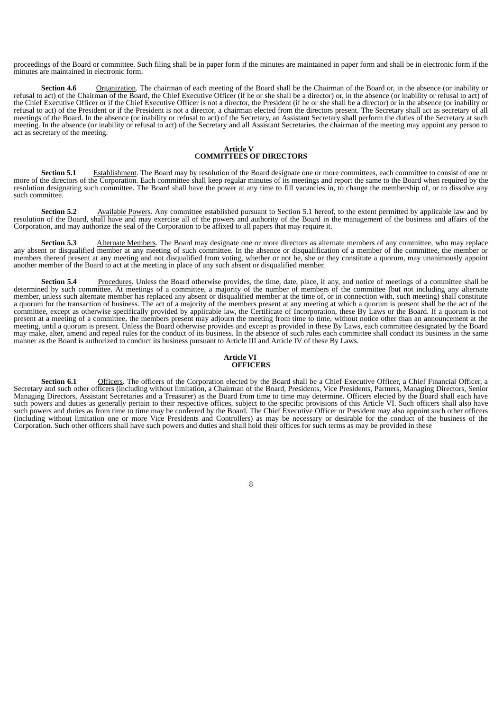proceedings of the Board or committee. Such filing shall be in paper form if the minutes are maintained in paper form and shall be in electronic form if the minutes are maintained in electronic form.

**Section 4.6** Organization. The chairman of each meeting of the Board shall be the Chairman of the Board or, in the absence (or inability or refusal to act) of the Chairman of the Board, the Chief Executive Officer (if he or she shall be a director) or, in the absence (or inability or refusal to act) of the Chief Executive Officer or if the Chief Executive Officer is not a director, the President (if he or she shall be a director) or in the absence (or inability or refusal to act) of the President or if the President is not a director, a chairman elected from the directors present. The Secretary shall act as secretary of all meetings of the Board. In the absence (or inability or refusal to act) of the Secretary, an Assistant Secretary shall perform the duties of the Secretary at such meeting. In the absence (or inability or refusal to act) of the Secretary and all Assistant Secretaries, the chairman of the meeting may appoint any person to act as secretary of the meeting.

#### **Article V COMMITTEES OF DIRECTORS**

**Section 5.1** Establishment. The Board may by resolution of the Board designate one or more committees, each committee to consist of one or more of the directors of the Corporation. Each committee shall keep regular minutes of its meetings and report the same to the Board when required by the resolution designating such committee. The Board shall have the power at any time to fill vacancies in, to change the membership of, or to dissolve any such committee.

**Section 5.2** Available Powers. Any committee established pursuant to Section 5.1 hereof, to the extent permitted by applicable law and by resolution of the Board, shall have and may exercise all of the powers and authority of the Board in the management of the business and affairs of the Corporation, and may authorize the seal of the Corporation to be affixed to all papers that may require it.

**Section 5.3** Alternate Members. The Board may designate one or more directors as alternate members of any committee, who may replace any absent or disqualified member at any meeting of such committee. In the absence or disqualification of a member of the committee, the member or members thereof present at any meeting and not disqualified from voting, whether or not he, she or they constitute a quorum, may unanimously appoint another member of the Board to act at the meeting in place of any such absent or disqualified member.

**Section 5.4** Procedures. Unless the Board otherwise provides, the time, date, place, if any, and notice of meetings of a committee shall be determined by such committee. At meetings of a committee, a majority of the number of members of the committee (but not including any alternate member, unless such alternate member has replaced any absent or disqualified member at the time of, or in connection with, such meeting) shall constitute a quorum for the transaction of business. The act of a majority of the members present at any meeting at which a quorum is present shall be the act of the committee, except as otherwise specifically provided by applicable law, the Certificate of Incorporation, these By Laws or the Board. If a quorum is not present at a meeting of a committee, the members present may adjourn the meeting from time to time, without notice other than an announcement at the meeting, until a quorum is present. Unless the Board otherwise provides and except as provided in these By Laws, each committee designated by the Board may make, alter, amend and repeal rules for the conduct of its business. In the absence of such rules each committee shall conduct its business in the same manner as the Board is authorized to conduct its business pursuant to Article III and Article IV of these By Laws.

#### **Article VI OFFICERS**

**Section 6.1** Officers. The officers of the Corporation elected by the Board shall be a Chief Executive Officer, a Chief Financial Officer, a Secretary and such other officers (including without limitation, a Chairman of the Board, Presidents, Vice Presidents, Partners, Managing Directors, Senior<br>Managing Directors, Assistant Secretaries and a Treasurer) as the Managing Directors, Assistant Secretaries and a Treasurer) as the Board from time to time may determine. Officers elected by the Board shall each have such powers and duties as generally pertain to their respective offices such powers and duties as from time to time may be conferred by the Board. The Chief Executive Officer or President may also appoint such other officers (including without limitation one or more Vice Presidents and Controllers) as may be necessary or desirable for the conduct of the business of the Corporation. Such other officers shall have such powers and duties and shall hold their offices for such terms as may be provided in these

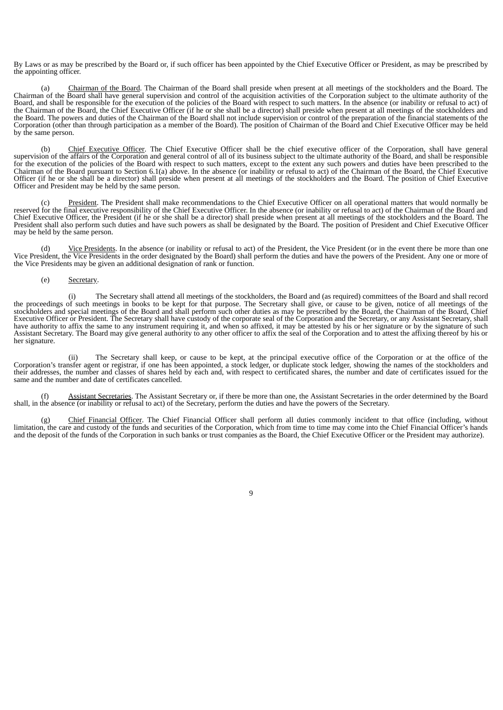By Laws or as may be prescribed by the Board or, if such officer has been appointed by the Chief Executive Officer or President, as may be prescribed by the appointing officer.

(a) Chairman of the Board. The Chairman of the Board shall preside when present at all meetings of the stockholders and the Board. The Chairman of the Board shall have general supervision and control of the acquisition activities of the Corporation subject to the ultimate authority of the Board, and shall be responsible for the execution of the policies of the Board with respect to such matters. In the absence (or inability or refusal to act) of the Chairman of the Board, the Chief Executive Officer (if he or she shall be a director) shall preside when present at all meetings of the stockholders and the Board. The powers and duties of the Chairman of the Board shall not include supervision or control of the preparation of the financial statements of the Corporation (other than through participation as a member of the Board). The position of Chairman of the Board and Chief Executive Officer may be held by the same person.

(b) Chief Executive Officer. The Chief Executive Officer shall be the chief executive officer of the Corporation, shall have general supervision of the affairs of the Corporation and general control of all of its business subject to the ultimate authority of the Board, and shall be responsible for the execution of the policies of the Board with respect to such matters, except to the extent any such powers and duties have been prescribed to the Chairman of the Board pursuant to Section 6.1(a) above. In the absence (or inability or refusal to act) of the Chairman of the Board, the Chief Executive Officer (if he or she shall be a director) shall preside when present at all meetings of the stockholders and the Board. The position of Chief Executive Officer and President may be held by the same person.

President. The President shall make recommendations to the Chief Executive Officer on all operational matters that would normally be reserved for the final executive responsibility of the Chief Executive Officer. In the absence (or inability or refusal to act) of the Chairman of the Board and Chief Executive Officer, the President (if he or she shall be a director) shall preside when present at all meetings of the stockholders and the Board. The President shall also perform such duties and have such powers as shall be designated by the Board. The position of President and Chief Executive Officer may be held by the same person.

Vice Presidents. In the absence (or inability or refusal to act) of the President, the Vice President (or in the event there be more than one Vice President, the Vice Presidents in the order designated by the Board) shall perform the duties and have the powers of the President. Any one or more of the Vice Presidents may be given an additional designation of rank or function.

#### (e) Secretary.

(i) The Secretary shall attend all meetings of the stockholders, the Board and (as required) committees of the Board and shall record the proceedings of such meetings in books to be kept for that purpose. The Secretary shall give, or cause to be given, notice of all meetings of the stockholders and special meetings of the Board and shall perform such other duties as may be prescribed by the Board, the Chairman of the Board, Chief Executive Officer or President. The Secretary shall have custody of the corporate seal of the Corporation and the Secretary, or any Assistant Secretary, shall have authority to affix the same to any instrument requiring it, and when so affixed, it may be attested by his or her signature or by the signature of such Assistant Secretary. The Board may give general authority to any other officer to affix the seal of the Corporation and to attest the affixing thereof by his or her signature.

(ii) The Secretary shall keep, or cause to be kept, at the principal executive office of the Corporation or at the office of the Corporation's transfer agent or registrar, if one has been appointed, a stock ledger, or duplicate stock ledger, showing the names of the stockholders and their addresses, the number and classes of shares held by each and, with respect to certificated shares, the number and date of certificates issued for the same and the number and date of certificates cancelled.

(f) Assistant Secretaries. The Assistant Secretary or, if there be more than one, the Assistant Secretaries in the order determined by the Board shall, in the absence (or inability or refusal to act) of the Secretary, perform the duties and have the powers of the Secretary.

Chief Financial Officer. The Chief Financial Officer shall perform all duties commonly incident to that office (including, without limitation, the care and custody of the funds and securities of the Corporation, which from time to time may come into the Chief Financial Officer's hands and the deposit of the funds of the Corporation in such banks or trust companies as the Board, the Chief Executive Officer or the President may authorize).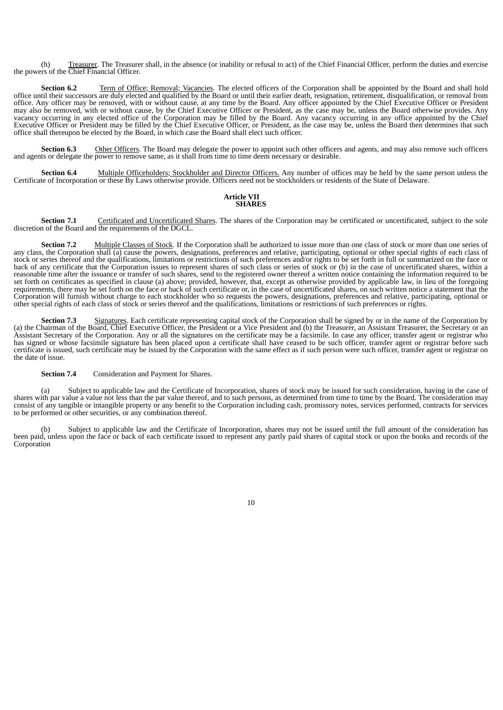(h) Treasurer. The Treasurer shall, in the absence (or inability or refusal to act) of the Chief Financial Officer, perform the duties and exercise the powers of the Chief Financial Officer.

**Section 6.2** Term of Office; Removal; Vacancies. The elected officers of the Corporation shall be appointed by the Board and shall hold office until their successors are duly elected and qualified by the Board or until their earlier death, resignation, retirement, disqualification, or removal from office. Any officer may be removed, with or without cause, at any time by the Board. Any officer appointed by the Chief Executive Officer or President may also be removed, with or without cause, by the Chief Executive Officer or President, as the case may be, unless the Board otherwise provides. Any vacancy occurring in any elected office of the Corporation may be filled by the Board. Any vacancy occurring in any office appointed by the Chief Executive Officer or President may be filled by the Chief Executive Officer, or President, as the case may be, unless the Board then determines that such office shall thereupon be elected by the Board, in which case the Board shall elect such officer.

**Section 6.3** Other Officers. The Board may delegate the power to appoint such other officers and agents, and may also remove such officers and agents or delegate the power to remove same, as it shall from time to time deem necessary or desirable.

**Section 6.4** Multiple Officeholders; Stockholder and Director Officers. Any number of offices may be held by the same person unless the Certificate of Incorporation or these By Laws otherwise provide. Officers need not be stockholders or residents of the State of Delaware.

#### **Article VII SHARES**

**Section 7.1** Certificated and Uncertificated Shares. The shares of the Corporation may be certificated or uncertificated, subject to the sole discretion of the Board and the requirements of the DGCL.

**Section 7.2** Multiple Classes of Stock. If the Corporation shall be authorized to issue more than one class of stock or more than one series of any class, the Corporation shall (a) cause the powers, designations, preferences and relative, participating, optional or other special rights of each class of stock or series thereof and the qualifications, limitations or restrictions of such preferences and/or rights to be set forth in full or summarized on the face or back of any certificate that the Corporation issues to represent shares of such class or series of stock or (b) in the case of uncertificated shares, within a reasonable time after the issuance or transfer of such shares, send to the registered owner thereof a written notice containing the information required to be set forth on certificates as specified in clause (a) above; provided, however, that, except as otherwise provided by applicable law, in lieu of the foregoing requirements, there may be set forth on the face or back of such certificate or, in the case of uncertificated shares, on such written notice a statement that the Corporation will furnish without charge to each stockholder who so requests the powers, designations, preferences and relative, participating, optional or other special rights of each class of stock or series thereof and the qualifications, limitations or restrictions of such preferences or rights.

**Section 7.3** Signatures. Each certificate representing capital stock of the Corporation shall be signed by or in the name of the Corporation by (a) the Chairman of the Board, Chief Executive Officer, the President or a Vice President and (b) the Treasurer, an Assistant Treasurer, the Secretary or an Assistant Secretary of the Corporation. Any or all the signatures on the certificate may be a facsimile. In case any officer, transfer agent or registrar who has signed or whose facsimile signature has been placed upon a certificate shall have ceased to be such officer, transfer agent or registrar before such certificate is issued, such certificate may be issued by the Corporation with the same effect as if such person were such officer, transfer agent or registrar on the date of issue.

## **Section 7.4** Consideration and Payment for Shares.

(a) Subject to applicable law and the Certificate of Incorporation, shares of stock may be issued for such consideration, having in the case of shares with par value a value not less than the par value thereof, and to such persons, as determined from time to time by the Board. The consideration may consist of any tangible or intangible property or any benefit to the Corporation including cash, promissory notes, services performed, contracts for services to be performed or other securities, or any combination thereof.

(b) Subject to applicable law and the Certificate of Incorporation, shares may not be issued until the full amount of the consideration has been paid, unless upon the face or back of each certificate issued to represent any partly paid shares of capital stock or upon the books and records of the Corporation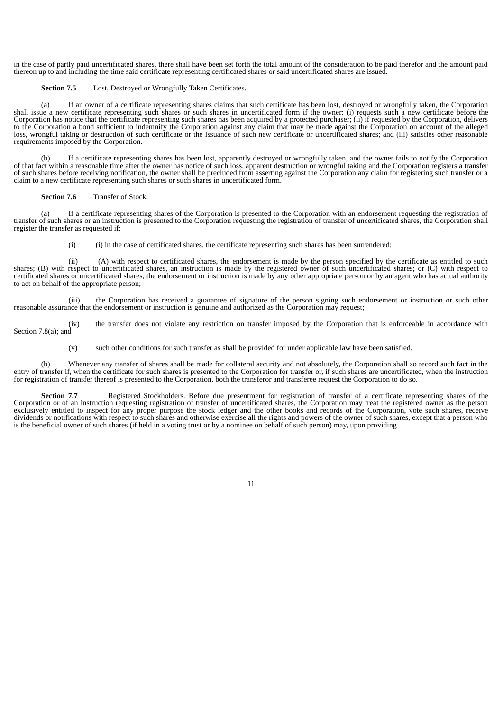in the case of partly paid uncertificated shares, there shall have been set forth the total amount of the consideration to be paid therefor and the amount paid thereon up to and including the time said certificate representing certificated shares or said uncertificated shares are issued.

## **Section 7.5** Lost, Destroyed or Wrongfully Taken Certificates.

(a) If an owner of a certificate representing shares claims that such certificate has been lost, destroyed or wrongfully taken, the Corporation shall issue a new certificate representing such shares or such shares in uncertificated form if the owner: (i) requests such a new certificate before the Corporation has notice that the certificate representing such shares has been acquired by a protected purchaser; (ii) if requested by the Corporation, delivers to the Corporation a bond sufficient to indemnify the Corporation against any claim that may be made against the Corporation on account of the alleged loss, wrongful taking or destruction of such certificate or the issuance of such new certificate or uncertificated shares; and (iii) satisfies other reasonable requirements imposed by the Corporation.

(b) If a certificate representing shares has been lost, apparently destroyed or wrongfully taken, and the owner fails to notify the Corporation of that fact within a reasonable time after the owner has notice of such loss, apparent destruction or wrongful taking and the Corporation registers a transfer of such shares before receiving notification, the owner shall be precluded from asserting against the Corporation any claim for registering such transfer or a claim to a new certificate representing such shares or such shares in uncertificated form.

**Section 7.6** Transfer of Stock.

(a) If a certificate representing shares of the Corporation is presented to the Corporation with an endorsement requesting the registration of transfer of such shares or an instruction is presented to the Corporation requesting the registration of transfer of uncertificated shares, the Corporation shall register the transfer as requested if:

(i) (i) in the case of certificated shares, the certificate representing such shares has been surrendered;

(ii) (A) with respect to certificated shares, the endorsement is made by the person specified by the certificate as entitled to such shares; (B) with respect to uncertificated shares, an instruction is made by the registered owner of such uncertificated shares; or (C) with respect to certificated shares or uncertificated shares, the endorsement or instruction is made by any other appropriate person or by an agent who has actual authority to act on behalf of the appropriate person;

(iii) the Corporation has received a guarantee of signature of the person signing such endorsement or instruction or such other reasonable assurance that the endorsement or instruction is genuine and authorized as the Corporation may request;

(iv) the transfer does not violate any restriction on transfer imposed by the Corporation that is enforceable in accordance with Section 7.8(a); and

(v) such other conditions for such transfer as shall be provided for under applicable law have been satisfied.

(b) Whenever any transfer of shares shall be made for collateral security and not absolutely, the Corporation shall so record such fact in the entry of transfer if, when the certificate for such shares is presented to the Corporation for transfer or, if such shares are uncertificated, when the instruction for registration of transfer thereof is presented to the Corporation, both the transferor and transferee request the Corporation to do so.

**Section 7.7** Registered Stockholders. Before due presentment for registration of transfer of a certificate representing shares of the Corporation or of an instruction requesting registration of transfer of uncertificated shares, the Corporation may treat the registered owner as the person exclusively entitled to inspect for any proper purpose the stock ledger and the other books and records of the Corporation, vote such shares, receive dividends or notifications with respect to such shares and otherwise exercise all the rights and powers of the owner of such shares, except that a person who is the beneficial owner of such shares (if held in a voting trust or by a nominee on behalf of such person) may, upon providing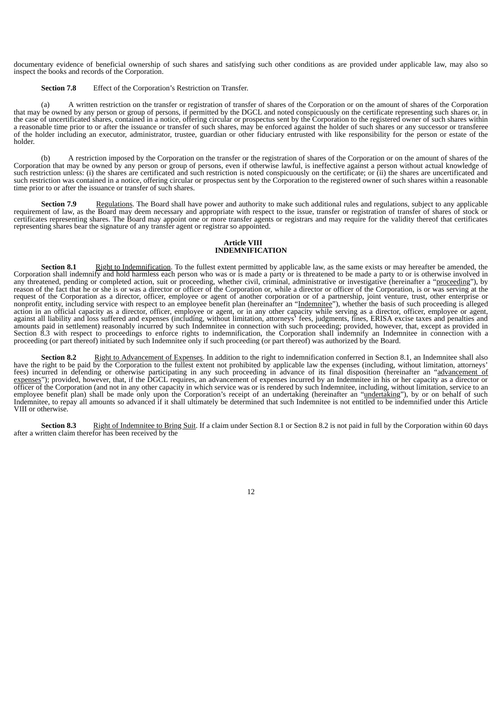documentary evidence of beneficial ownership of such shares and satisfying such other conditions as are provided under applicable law, may also so inspect the books and records of the Corporation.

## **Section 7.8** Effect of the Corporation's Restriction on Transfer.

(a) A written restriction on the transfer or registration of transfer of shares of the Corporation or on the amount of shares of the Corporation that may be owned by any person or group of persons, if permitted by the DGCL and noted conspicuously on the certificate representing such shares or, in the case of uncertificated shares, contained in a notice, offering circular or prospectus sent by the Corporation to the registered owner of such shares within a reasonable time prior to or after the issuance or transfer of such shares, may be enforced against the holder of such shares or any successor or transferee of the holder including an executor, administrator, trustee, guardian or other fiduciary entrusted with like responsibility for the person or estate of the holder.

(b) A restriction imposed by the Corporation on the transfer or the registration of shares of the Corporation or on the amount of shares of the Corporation that may be owned by any person or group of persons, even if otherwise lawful, is ineffective against a person without actual knowledge of such restriction unless: (i) the shares are certificated and such restriction is noted conspicuously on the certificate; or (ii) the shares are uncertificated and such restriction was contained in a notice, offering circular or prospectus sent by the Corporation to the registered owner of such shares within a reasonable time prior to or after the issuance or transfer of such shares.

**Section 7.9** Regulations. The Board shall have power and authority to make such additional rules and regulations, subject to any applicable requirement of law, as the Board may deem necessary and appropriate with respect to the issue, transfer or registration of transfer of shares of stock or certificates representing shares. The Board may appoint one or more transfer agents or registrars and may require for the validity thereof that certificates representing shares bear the signature of any transfer agent or registrar so appointed.

#### **Article VIII INDEMNIFICATION**

**Section 8.1** Right to Indemnification. To the fullest extent permitted by applicable law, as the same exists or may hereafter be amended, the Corporation shall indemnify and hold harmless each person who was or is made a party or is threatened to be made a party to or is otherwise involved in any threatened, pending or completed action, suit or proceeding, whether civil, criminal, administrative or investigative (hereinafter a "proceeding"), by reason of the fact that he or she is or was a director or officer of the Corporation or, while a director or officer of the Corporation, is or was serving at the request of the Corporation as a director, officer, employee or agent of another corporation or of a partnership, joint venture, trust, other enterprise or nonprofit entity, including service with respect to an employee benefit plan (hereinafter an "<u>Indemnitee</u>"), whether the basis of such proceeding is alleged action in an official capacity as a director, officer, employee or agent, or in any other capacity while serving as a director, officer, employee or agent, against all liability and loss suffered and expenses (including, without limitation, attorneys' fees, judgments, fines, ERISA excise taxes and penalties and amounts paid in settlement) reasonably incurred by such Indemnitee in connection with such proceeding; provided, however, that, except as provided in Section 8.3 with respect to proceedings to enforce rights to indemnification, the Corporation shall indemnify an Indemnitee in connection with a proceeding (or part thereof) initiated by such Indemnitee only if such proceeding (or part thereof) was authorized by the Board.

**Section 8.2** Right to Advancement of Expenses. In addition to the right to indemnification conferred in Section 8.1, an Indemnitee shall also have the right to be paid by the Corporation to the fullest extent not prohibited by applicable law the expenses (including, without limitation, attorneys' fees) incurred in defending or otherwise participating in any such proceeding in advance of its final disposition (hereinafter an "advancement of expenses"); provided, however, that, if the DGCL requires, an advancement of expenses incurred by an Indemnitee in his or her capacity as a director or officer of the Corporation (and not in any other capacity in which service was or is rendered by such Indemnitee, including, without limitation, service to an employee benefit plan) shall be made only upon the Corporation's receipt of an undertaking (hereinafter an "undertaking"), by or on behalf of such Indemnitee, to repay all amounts so advanced if it shall ultimately be determined that such Indemnitee is not entitled to be indemnified under this Article VIII or otherwise.

**Section 8.3** Right of Indemnitee to Bring Suit. If a claim under Section 8.1 or Section 8.2 is not paid in full by the Corporation within 60 days after a written claim therefor has been received by the

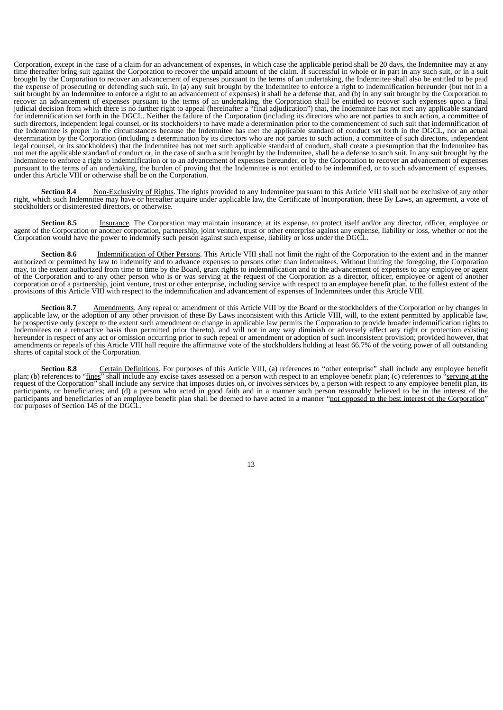Corporation, except in the case of a claim for an advancement of expenses, in which case the applicable period shall be 20 days, the Indemnitee may at any time thereafter bring suit against the Corporation to recover the unpaid amount of the claim. If successful in whole or in part in any such suit, or in a suit brought by the Corporation to recover an advancement of expenses pursuant to the terms of an undertaking, the Indemnitee shall also be entitled to be paid the expense of prosecuting or defending such suit. In (a) any suit brought by the Indemnitee to enforce a right to indemnification hereunder (but not in a suit brought by an Indemnitee to enforce a right to an advancement of expenses) it shall be a defense that, and (b) in any suit brought by the Corporation to recover an advancement of expenses pursuant to the terms of an undertaking, the Corporation shall be entitled to recover such expenses upon a final judicial decision from which there is no further right to appeal (hereinafter a "<u>final adjudication</u>") that, the Indemnitee has not met any applicable standard for indemnification set forth in the DGCL. Neither the failure of the Corporation (including its directors who are not parties to such action, a committee of such directors, independent legal counsel, or its stockholders) to have made a determination prior to the commencement of such suit that indemnification of the Indemnitee is proper in the circumstances because the Indemnitee has met the applicable standard of conduct set forth in the DGCL, nor an actual determination by the Corporation (including a determination by its directors who are not parties to such action, a committee of such directors, independent legal counsel, or its stockholders) that the Indemnitee has not met such applicable standard of conduct, shall create a presumption that the Indemnitee has not met the applicable standard of conduct or, in the case of such a suit brought by the Indemnitee, shall be a defense to such suit. In any suit brought by the Indemnitee to enforce a right to indemnification or to an advancement of expenses hereunder, or by the Corporation to recover an advancement of expenses pursuant to the terms of an undertaking, the burden of proving that the Indemnitee is not entitled to be indemnified, or to such advancement of expenses, under this Article VIII or otherwise shall be on the Corporation.

**Section 8.4** Non-Exclusivity of Rights. The rights provided to any Indemnitee pursuant to this Article VIII shall not be exclusive of any other right, which such Indemnitee may have or hereafter acquire under applicable law, the Certificate of Incorporation, these By Laws, an agreement, a vote of stockholders or disinterested directors, or otherwise.

Section 8.5 **Insurance**. The Corporation may maintain insurance, at its expense, to protect itself and/or any director, officer, employee or agent of the Corporation or another corporation, partnership, joint venture, trust or other enterprise against any expense, liability or loss, whether or not the Corporation would have the power to indemnify such person against such expense, liability or loss under the DGCL.

**Section 8.6** Indemnification of Other Persons. This Article VIII shall not limit the right of the Corporation to the extent and in the manner authorized or permitted by law to indemnify and to advance expenses to persons other than Indemnitees. Without limiting the foregoing, the Corporation may, to the extent authorized from time to time by the Board, grant rights to indemnification and to the advancement of expenses to any employee or agent of the Corporation and to any other person who is or was serving at the request of the Corporation as a director, officer, employee or agent of another corporation or of a partnership, joint venture, trust or other enterprise, including service with respect to an employee benefit plan, to the fullest extent of the provisions of this Article VIII with respect to the indemnification and advancement of expenses of Indemnitees under this Article VIII.

**Section 8.7** Amendments. Any repeal or amendment of this Article VIII by the Board or the stockholders of the Corporation or by changes in applicable law, or the adoption of any other provision of these By Laws inconsistent with this Article VIII, will, to the extent permitted by applicable law, be prospective only (except to the extent such amendment or change in applicable law permits the Corporation to provide broader indemnification rights to Indemnitees on a retroactive basis than permitted prior thereto), and will not in any way diminish or adversely affect any right or protection existing hereunder in respect of any act or omission occurring prior to such repeal or amendment or adoption of such inconsistent provision; provided however, that amendments or repeals of this Article VIII hall require the affirmative vote of the stockholders holding at least 66.7% of the voting power of all outstanding shares of capital stock of the Corporation.

**Section 8.8** Certain Definitions. For purposes of this Article VIII, (a) references to "other enterprise" shall include any employee benefit plan; (b) references to "fines" shall include any excise taxes assessed on a person with respect to an employee benefit plan; (c) references to "serving at the request of the Corporation" shall include any service that imposes duties on, or involves services by, a person with respect to any employee benefit plan, its participants, or beneficiaries; and (d) a person who acted in good faith and in a manner such person reasonably believed to be in the interest of the participants and beneficiaries of an employee benefit plan shall be deemed to have acted in a manner "not opposed to the best interest of the Corporation" for purposes of Section 145 of the DGCL.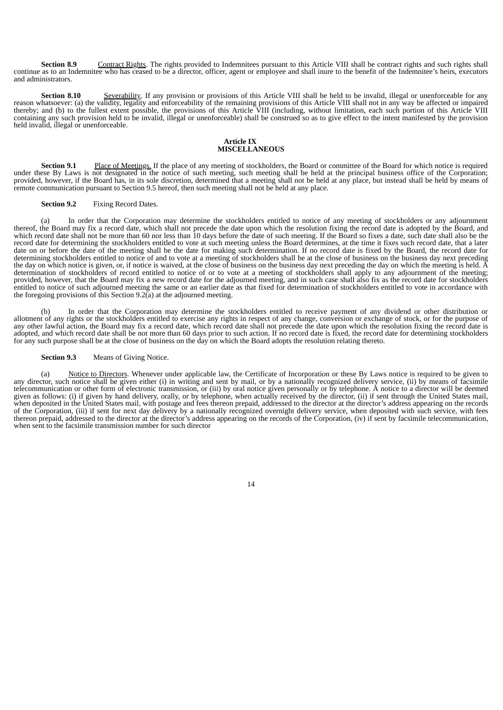**Section 8.9** Contract Rights. The rights provided to Indemnitees pursuant to this Article VIII shall be contract rights and such rights shall continue as to an Indemnitee who has ceased to be a director, officer, agent or employee and shall inure to the benefit of the Indemnitee's heirs, executors and administrators.

**Section 8.10** Severability. If any provision or provisions of this Article VIII shall be held to be invalid, illegal or unenforceable for any reason whatsoever: (a) the validity, legality and enforceability of the remaining provisions of this Article VIII shall not in any way be affected or impaired thereby; and (b) to the fullest extent possible, the provisions of this Article VIII (including, without limitation, each such portion of this Article VIII containing any such provision held to be invalid, illegal or unenforceable) shall be construed so as to give effect to the intent manifested by the provision held invalid, illegal or unenforceable.

## **Article IX MISCELLANEOUS**

**Section 9.1** Place of Meetings. If the place of any meeting of stockholders, the Board or committee of the Board for which notice is required under these By Laws is not designated in the notice of such meeting, such meeting shall be held at the principal business office of the Corporation; provided, however, if the Board has, in its sole discretion, determined that a meeting shall not be held at any place, but instead shall be held by means of remote communication pursuant to Section 9.5 hereof, then such meeting shall not be held at any place.

## **Section 9.2** Fixing Record Dates.

(a) In order that the Corporation may determine the stockholders entitled to notice of any meeting of stockholders or any adjournment thereof, the Board may fix a record date, which shall not precede the date upon which the resolution fixing the record date is adopted by the Board, and which record date shall not be more than 60 nor less than 10 days before the date of such meeting. If the Board so fixes a date, such date shall also be the record date for determining the stockholders entitled to vote at such meeting unless the Board determines, at the time it fixes such record date, that a later date on or before the date of the meeting shall be the date for making such determination. If no record date is fixed by the Board, the record date for determining stockholders entitled to notice of and to vote at a meeting of stockholders shall be at the close of business on the business day next preceding the day on which notice is given, or, if notice is waived, at the close of business on the business day next preceding the day on which the meeting is held. A determination of stockholders of record entitled to notice of or to vote at a meeting of stockholders shall apply to any adjournment of the meeting; provided, however, that the Board may fix a new record date for the adjourned meeting, and in such case shall also fix as the record date for stockholders entitled to notice of such adjourned meeting the same or an earlier date as that fixed for determination of stockholders entitled to vote in accordance with the foregoing provisions of this Section 9.2(a) at the adjourned meeting.

(b) In order that the Corporation may determine the stockholders entitled to receive payment of any dividend or other distribution or allotment of any rights or the stockholders entitled to exercise any rights in respect of any change, conversion or exchange of stock, or for the purpose of any other lawful action, the Board may fix a record date, which record date shall not precede the date upon which the resolution fixing the record date is adopted, and which record date shall be not more than 60 days prior to such action. If no record date is fixed, the record date for determining stockholders for any such purpose shall be at the close of business on the day on which the Board adopts the resolution relating thereto.

## **Section 9.3** Means of Giving Notice.

(a) Notice to Directors. Whenever under applicable law, the Certificate of Incorporation or these By Laws notice is required to be given to any director, such notice shall be given either (i) in writing and sent by mail, or by a nationally recognized delivery service, (ii) by means of facsimile telecommunication or other form of electronic transmission, or (iii) by oral notice given personally or by telephone. A notice to a director will be deemed given as follows: (i) if given by hand delivery, orally, or by telephone, when actually received by the director, (ii) if sent through the United States mail, when deposited in the United States mail, with postage and fees thereon prepaid, addressed to the director at the director's address appearing on the records of the Corporation, (iii) if sent for next day delivery by a nationally recognized overnight delivery service, when deposited with such service, with fees thereon prepaid, addressed to the director at the director's address appearing on the records of the Corporation, (iv) if sent by facsimile telecommunication, when sent to the facsimile transmission number for such director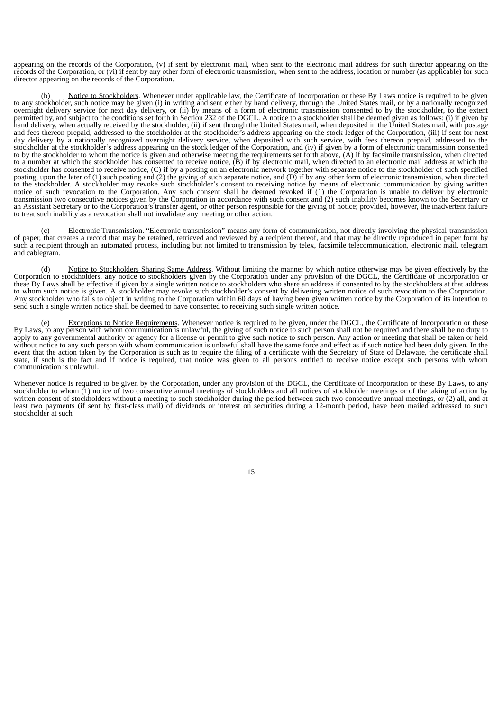appearing on the records of the Corporation, (v) if sent by electronic mail, when sent to the electronic mail address for such director appearing on the records of the Corporation, or (vi) if sent by any other form of electronic transmission, when sent to the address, location or number (as applicable) for such director appearing on the records of the Corporation.

Notice to Stockholders. Whenever under applicable law, the Certificate of Incorporation or these By Laws notice is required to be given to any stockholder, such notice may be given (i) in writing and sent either by hand delivery, through the United States mail, or by a nationally recognized overnight delivery service for next day delivery, or (ii) by means of a form of electronic transmission consented to by the stockholder, to the extent permitted by, and subject to the conditions set forth in Section 232 of the DGCL. A notice to a stockholder shall be deemed given as follows: (i) if given by hand delivery, when actually received by the stockholder, (ii) if sent through the United States mail, when deposited in the United States mail, with postage and fees thereon prepaid, addressed to the stockholder at the stockholder<sup>5</sup>s address appearing on the stock ledger of the Corporation, (iii) if sent for next day delivery by a nationally recognized overnight delivery service, when deposited with such service, with fees thereon prepaid, addressed to the stockholder at the stockholder's address appearing on the stock ledger of the Corporation, and (iv) if given by a form of electronic transmission consented to by the stockholder to whom the notice is given and otherwise meeting the requirements set forth above, (A) if by facsimile transmission, when directed to a number at which the stockholder has consented to receive notice, (B) if by electronic mail, when directed to an electronic mail address at which the stockholder has consented to receive notice, (C) if by a posting on an electronic network together with separate notice to the stockholder of such specified posting, upon the later of (1) such posting and (2) the giving of such separate notice, and (D) if by any other form of electronic transmission, when directed to the stockholder. A stockholder may revoke such stockholder's consent to receiving notice by means of electronic communication by giving written notice of such revocation to the Corporation. Any such consent shall be deemed revoked if (1) the Corporation is unable to deliver by electronic transmission two consecutive notices given by the Corporation in accordance with such consent and (2) such inability becomes known to the Secretary or an Assistant Secretary or to the Corporation's transfer agent, or other person responsible for the giving of notice; provided, however, the inadvertent failure to treat such inability as a revocation shall not invalidate any meeting or other action.

(c) Electronic Transmission. "Electronic transmission" means any form of communication, not directly involving the physical transmission of paper, that creates a record that may be retained, retrieved and reviewed by a recipient thereof, and that may be directly reproduced in paper form by such a recipient through an automated process, including but not limited to transmission by telex, facsimile telecommunication, electronic mail, telegram and cablegram.

(d) Notice to Stockholders Sharing Same Address. Without limiting the manner by which notice otherwise may be given effectively by the Corporation to stockholders, any notice to stockholders given by the Corporation under any provision of the DGCL, the Certificate of Incorporation or these By Laws shall be effective if given by a single written notice to stockholders who share an address if consented to by the stockholders at that address to whom such notice is given. A stockholder may revoke such stockholder's consent by delivering written notice of such revocation to the Corporation. Any stockholder who fails to object in writing to the Corporation within 60 days of having been given written notice by the Corporation of its intention to send such a single written notice shall be deemed to have consented to receiving such single written notice.

(e) Exceptions to Notice Requirements. Whenever notice is required to be given, under the DGCL, the Certificate of Incorporation or these By Laws, to any person with whom communication is unlawful, the giving of such notice to such person shall not be required and there shall be no duty to apply to any governmental authority or agency for a license or permit to give such notice to such person. Any action or meeting that shall be taken or held without notice to any such person with whom communication is unlawful shall have the same force and effect as if such notice had been duly given. In the event that the action taken by the Corporation is such as to require the filing of a certificate with the Secretary of State of Delaware, the certificate shall state, if such is the fact and if notice is required, that notice was given to all persons entitled to receive notice except such persons with whom communication is unlawful.

Whenever notice is required to be given by the Corporation, under any provision of the DGCL, the Certificate of Incorporation or these By Laws, to any stockholder to whom (1) notice of two consecutive annual meetings of stockholders and all notices of stockholder meetings or of the taking of action by written consent of stockholders without a meeting to such stockholder during the period between such two consecutive annual meetings, or (2) all, and at least two payments (if sent by first-class mail) of dividends or interest on securities during a 12-month period, have been mailed addressed to such stockholder at such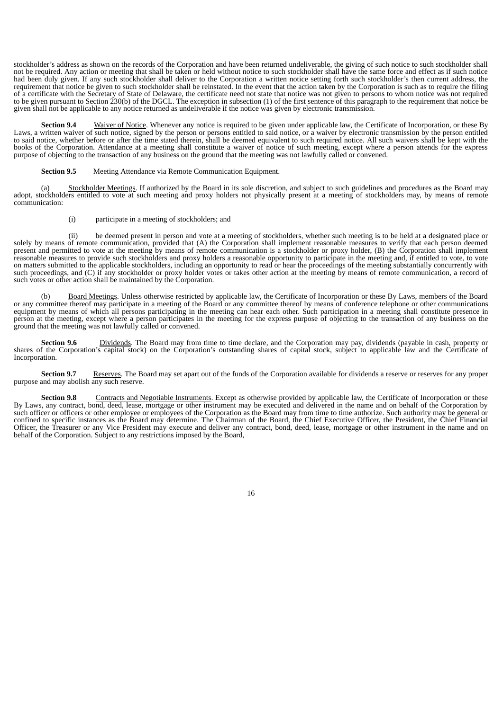stockholder's address as shown on the records of the Corporation and have been returned undeliverable, the giving of such notice to such stockholder shall not be required. Any action or meeting that shall be taken or held without notice to such stockholder shall have the same force and effect as if such notice had been duly given. If any such stockholder shall deliver to the Corporation a written notice setting forth such stockholder's then current address, the<br>had been duly given. If any such stockholder shall deliver to the Co requirement that notice be given to such stockholder shall be reinstated. In the event that the action taken by the Corporation is such as to require the filing of a certificate with the Secretary of State of Delaware, the certificate need not state that notice was not given to persons to whom notice was not required to be given pursuant to Section 230(b) of the DGCL. The exception in subsection (1) of the first sentence of this paragraph to the requirement that notice be given shall not be applicable to any notice returned as undeliverable if the notice was given by electronic transmission.

**Section 9.4** Waiver of Notice. Whenever any notice is required to be given under applicable law, the Certificate of Incorporation, or these By Laws, a written waiver of such notice, signed by the person or persons entitled to said notice, or a waiver by electronic transmission by the person entitled to said notice, whether before or after the time stated therein, shall be deemed equivalent to such required notice. All such waivers shall be kept with the books of the Corporation. Attendance at a meeting shall constitute a waiver of notice of such meeting, except where a person attends for the express purpose of objecting to the transaction of any business on the ground that the meeting was not lawfully called or convened.

#### **Section 9.5** Meeting Attendance via Remote Communication Equipment.

(a) Stockholder Meetings. If authorized by the Board in its sole discretion, and subject to such guidelines and procedures as the Board may adopt, stockholders entitled to vote at such meeting and proxy holders not physically present at a meeting of stockholders may, by means of remote communication:

(i) participate in a meeting of stockholders; and

(ii) be deemed present in person and vote at a meeting of stockholders, whether such meeting is to be held at a designated place or solely by means of remote communication, provided that (A) the Corporation shall implement reasonable measures to verify that each person deemed present and permitted to vote at the meeting by means of remote communication is a stockholder or proxy holder, (B) the Corporation shall implement reasonable measures to provide such stockholders and proxy holders a reasonable opportunity to participate in the meeting and, if entitled to vote, to vote on matters submitted to the applicable stockholders, including an opportunity to read or hear the proceedings of the meeting substantially concurrently with such proceedings, and (C) if any stockholder or proxy holder votes or takes other action at the meeting by means of remote communication, a record of such votes or other action shall be maintained by the Corporation.

(b) Board Meetings. Unless otherwise restricted by applicable law, the Certificate of Incorporation or these By Laws, members of the Board or any committee thereof may participate in a meeting of the Board or any committee thereof by means of conference telephone or other communications equipment by means of which all persons participating in the meeting can hear each other. Such participation in a meeting shall constitute presence in person at the meeting, except where a person participates in the meeting for the express purpose of objecting to the transaction of any business on the ground that the meeting was not lawfully called or convened.

**Section 9.6** Dividends. The Board may from time to time declare, and the Corporation may pay, dividends (payable in cash, property or shares of the Corporation's capital stock) on the Corporation's outstanding shares of capital stock, subject to applicable law and the Certificate of Incorporation.

**Section 9.7** Reserves. The Board may set apart out of the funds of the Corporation available for dividends a reserve or reserves for any proper purpose and may abolish any such reserve.

**Section 9.8** Contracts and Negotiable Instruments. Except as otherwise provided by applicable law, the Certificate of Incorporation or these By Laws, any contract, bond, deed, lease, mortgage or other instrument may be executed and delivered in the name and on behalf of the Corporation by such officer or officers or other employee or employees of the Corporation as the Board may from time to time authorize. Such authority may be general or confined to specific instances as the Board may determine. The Chairman of the Board, the Chief Executive Officer, the President, the Chief Financial Officer, the Treasurer or any Vice President may execute and deliver any contract, bond, deed, lease, mortgage or other instrument in the name and on behalf of the Corporation. Subject to any restrictions imposed by the Board,